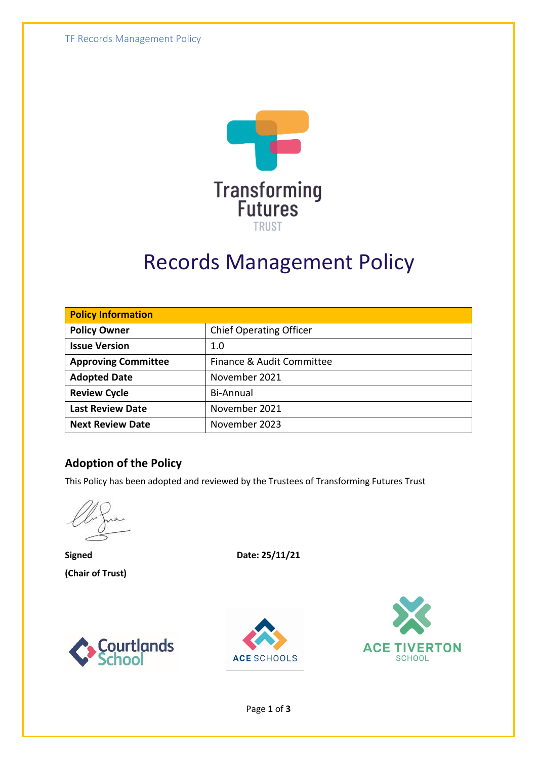

# Records Management Policy

| <b>Policy Information</b>  |                                |  |
|----------------------------|--------------------------------|--|
| <b>Policy Owner</b>        | <b>Chief Operating Officer</b> |  |
| <b>Issue Version</b>       | 1.0                            |  |
| <b>Approving Committee</b> | Finance & Audit Committee      |  |
| <b>Adopted Date</b>        | November 2021                  |  |
| <b>Review Cycle</b>        | Bi-Annual                      |  |
| <b>Last Review Date</b>    | November 2021                  |  |
| <b>Next Review Date</b>    | November 2023                  |  |

#### **Adoption of the Policy**

This Policy has been adopted and reviewed by the Trustees of Transforming Futures Trust

**Signed Date: 25/11/21 (Chair of Trust)**







Page **1** of **3**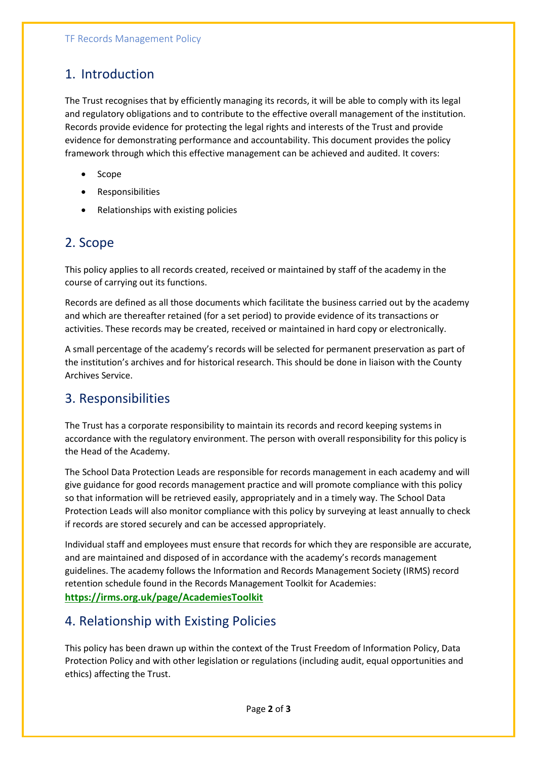#### 1. Introduction

The Trust recognises that by efficiently managing its records, it will be able to comply with its legal and regulatory obligations and to contribute to the effective overall management of the institution. Records provide evidence for protecting the legal rights and interests of the Trust and provide evidence for demonstrating performance and accountability. This document provides the policy framework through which this effective management can be achieved and audited. It covers:

- Scope
- Responsibilities
- Relationships with existing policies

#### 2. Scope

This policy applies to all records created, received or maintained by staff of the academy in the course of carrying out its functions.

Records are defined as all those documents which facilitate the business carried out by the academy and which are thereafter retained (for a set period) to provide evidence of its transactions or activities. These records may be created, received or maintained in hard copy or electronically.

A small percentage of the academy's records will be selected for permanent preservation as part of the institution's archives and for historical research. This should be done in liaison with the County Archives Service.

### 3. Responsibilities

The Trust has a corporate responsibility to maintain its records and record keeping systems in accordance with the regulatory environment. The person with overall responsibility for this policy is the Head of the Academy.

The School Data Protection Leads are responsible for records management in each academy and will give guidance for good records management practice and will promote compliance with this policy so that information will be retrieved easily, appropriately and in a timely way. The School Data Protection Leads will also monitor compliance with this policy by surveying at least annually to check if records are stored securely and can be accessed appropriately.

Individual staff and employees must ensure that records for which they are responsible are accurate, and are maintained and disposed of in accordance with the academy's records management guidelines. The academy follows the Information and Records Management Society (IRMS) record retention schedule found in the Records Management Toolkit for Academies:

#### **<https://irms.org.uk/page/AcademiesToolkit>**

#### 4. Relationship with Existing Policies

This policy has been drawn up within the context of the Trust Freedom of Information Policy, Data Protection Policy and with other legislation or regulations (including audit, equal opportunities and ethics) affecting the Trust.